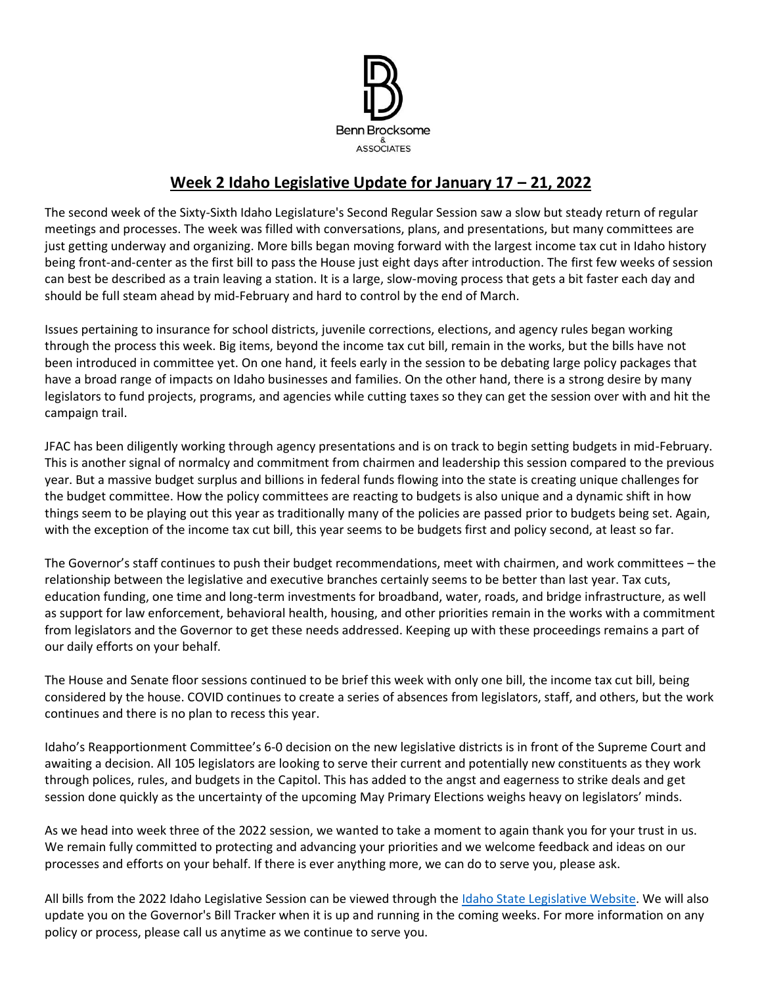

# **Week 2 Idaho Legislative Update for January 17 – 21, 2022**

The second week of the Sixty-Sixth Idaho Legislature's Second Regular Session saw a slow but steady return of regular meetings and processes. The week was filled with conversations, plans, and presentations, but many committees are just getting underway and organizing. More bills began moving forward with the largest income tax cut in Idaho history being front-and-center as the first bill to pass the House just eight days after introduction. The first few weeks of session can best be described as a train leaving a station. It is a large, slow-moving process that gets a bit faster each day and should be full steam ahead by mid-February and hard to control by the end of March.

Issues pertaining to insurance for school districts, juvenile corrections, elections, and agency rules began working through the process this week. Big items, beyond the income tax cut bill, remain in the works, but the bills have not been introduced in committee yet. On one hand, it feels early in the session to be debating large policy packages that have a broad range of impacts on Idaho businesses and families. On the other hand, there is a strong desire by many legislators to fund projects, programs, and agencies while cutting taxes so they can get the session over with and hit the campaign trail.

JFAC has been diligently working through agency presentations and is on track to begin setting budgets in mid-February. This is another signal of normalcy and commitment from chairmen and leadership this session compared to the previous year. But a massive budget surplus and billions in federal funds flowing into the state is creating unique challenges for the budget committee. How the policy committees are reacting to budgets is also unique and a dynamic shift in how things seem to be playing out this year as traditionally many of the policies are passed prior to budgets being set. Again, with the exception of the income tax cut bill, this year seems to be budgets first and policy second, at least so far.

The Governor's staff continues to push their budget recommendations, meet with chairmen, and work committees – the relationship between the legislative and executive branches certainly seems to be better than last year. Tax cuts, education funding, one time and long-term investments for broadband, water, roads, and bridge infrastructure, as well as support for law enforcement, behavioral health, housing, and other priorities remain in the works with a commitment from legislators and the Governor to get these needs addressed. Keeping up with these proceedings remains a part of our daily efforts on your behalf.

The House and Senate floor sessions continued to be brief this week with only one bill, the income tax cut bill, being considered by the house. COVID continues to create a series of absences from legislators, staff, and others, but the work continues and there is no plan to recess this year.

Idaho's Reapportionment Committee's 6-0 decision on the new legislative districts is in front of the Supreme Court and awaiting a decision. All 105 legislators are looking to serve their current and potentially new constituents as they work through polices, rules, and budgets in the Capitol. This has added to the angst and eagerness to strike deals and get session done quickly as the uncertainty of the upcoming May Primary Elections weighs heavy on legislators' minds.

As we head into week three of the 2022 session, we wanted to take a moment to again thank you for your trust in us. We remain fully committed to protecting and advancing your priorities and we welcome feedback and ideas on our processes and efforts on your behalf. If there is ever anything more, we can do to serve you, please ask.

All bills from the 2022 Idaho Legislative Session can be viewed through the [Idaho State Legislative Website.](https://legislature.idaho.gov/sessioninfo/) We will also update you on the Governor's Bill Tracker when it is up and running in the coming weeks. For more information on any policy or process, please call us anytime as we continue to serve you.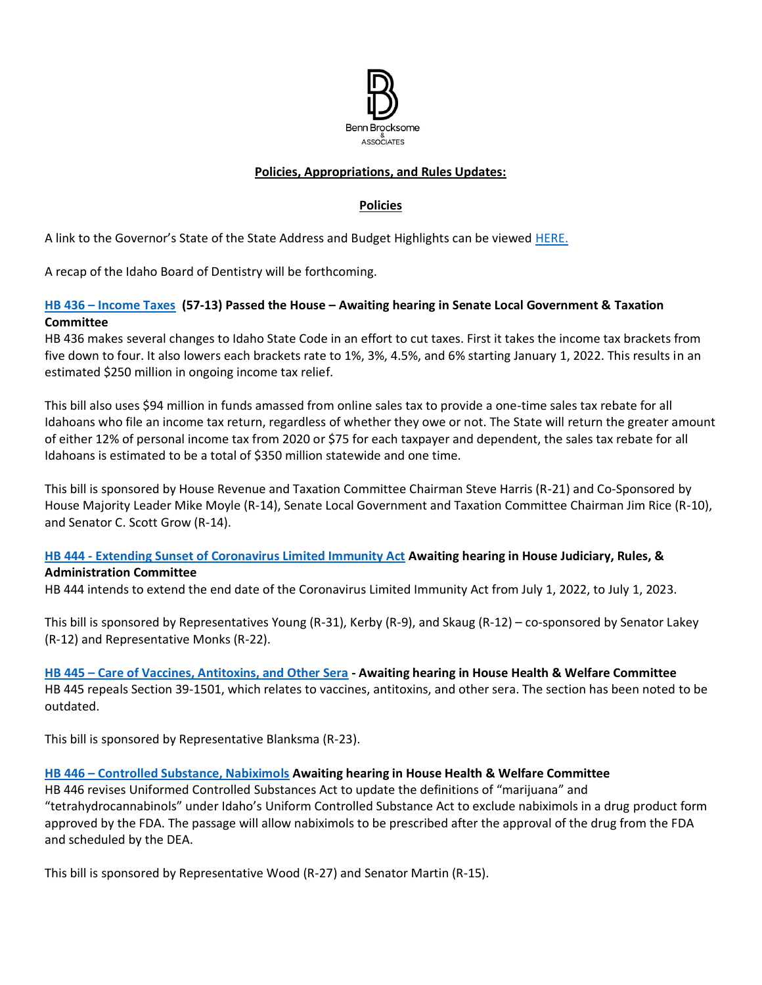

#### **Policies, Appropriations, and Rules Updates:**

#### **Policies**

A link to the Governor's State of the State Address and Budget Highlights can be viewed [HERE.](https://gov.idaho.gov/pressrelease/gov-little-highlights-plan-for-education-investments-tax-relief-in-2022-state-of-the-state-and-budget-address/)

A recap of the Idaho Board of Dentistry will be forthcoming.

#### **HB 436 – [Income Taxes](https://legislature.idaho.gov/sessioninfo/2022/legislation/H0436/) (57-13) Passed the House – Awaiting hearing in Senate Local Government & Taxation Committee**

HB 436 makes several changes to Idaho State Code in an effort to cut taxes. First it takes the income tax brackets from five down to four. It also lowers each brackets rate to 1%, 3%, 4.5%, and 6% starting January 1, 2022. This results in an estimated \$250 million in ongoing income tax relief.

This bill also uses \$94 million in funds amassed from online sales tax to provide a one-time sales tax rebate for all Idahoans who file an income tax return, regardless of whether they owe or not. The State will return the greater amount of either 12% of personal income tax from 2020 or \$75 for each taxpayer and dependent, the sales tax rebate for all Idahoans is estimated to be a total of \$350 million statewide and one time.

This bill is sponsored by House Revenue and Taxation Committee Chairman Steve Harris (R-21) and Co-Sponsored by House Majority Leader Mike Moyle (R-14), Senate Local Government and Taxation Committee Chairman Jim Rice (R-10), and Senator C. Scott Grow (R-14).

# **HB 444 - [Extending Sunset of Coronavirus Limited Immunity Act](https://legislature.idaho.gov/sessioninfo/2022/legislation/H0444/) Awaiting hearing in House Judiciary, Rules, &**

**Administration Committee**

HB 444 intends to extend the end date of the Coronavirus Limited Immunity Act from July 1, 2022, to July 1, 2023.

This bill is sponsored by Representatives Young (R-31), Kerby (R-9), and Skaug (R-12) – co-sponsored by Senator Lakey (R-12) and Representative Monks (R-22).

### **HB 445 – [Care of Vaccines, Antitoxins, and Other Sera](https://legislature.idaho.gov/wp-content/uploads/sessioninfo/2022/legislation/H0445.pdf) - Awaiting hearing in House Health & Welfare Committee**

HB 445 repeals Section 39-1501, which relates to vaccines, antitoxins, and other sera. The section has been noted to be outdated.

This bill is sponsored by Representative Blanksma (R-23).

### **HB 446 – [Controlled Substance, Nabiximols](https://legislature.idaho.gov/sessioninfo/2022/legislation/H0446/) Awaiting hearing in House Health & Welfare Committee**

HB 446 revises Uniformed Controlled Substances Act to update the definitions of "marijuana" and "tetrahydrocannabinols" under Idaho's Uniform Controlled Substance Act to exclude nabiximols in a drug product form approved by the FDA. The passage will allow nabiximols to be prescribed after the approval of the drug from the FDA and scheduled by the DEA.

This bill is sponsored by Representative Wood (R-27) and Senator Martin (R-15).